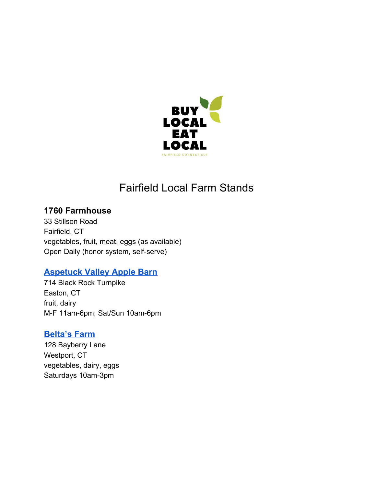

# Fairfield Local Farm Stands

# **1760 Farmhouse**

33 Stillson Road Fairfield, CT vegetables, fruit, meat, eggs (as available) Open Daily (honor system, self-serve)

# **[Aspetuck](https://www.facebook.com/Aspetuck-Apple-Barn-1454761178082295/) Valley Apple Barn**

714 Black Rock Turnpike Easton, CT fruit, dairy M-F 11am-6pm; Sat/Sun 10am-6pm

#### **[Belta's](http://www.beltasfarm.org/) Farm**

128 Bayberry Lane Westport, CT vegetables, dairy, eggs Saturdays 10am-3pm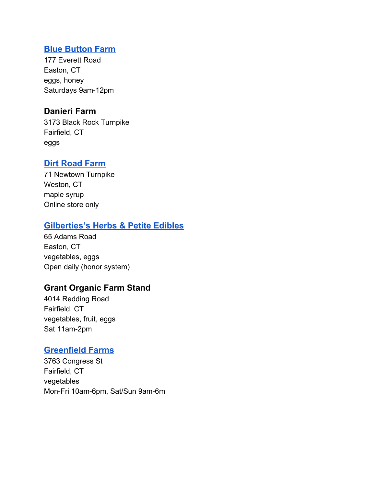#### **Blue [Button](http://www.bluebuttonfarm.com/) Farm**

177 Everett Road Easton, CT eggs, honey Saturdays 9am-12pm

#### **Danieri Farm**

3173 Black Rock Turnpike Fairfield, CT eggs

# **Dirt [Road](http://www.dirtroadfarm.com/) Farm**

71 Newtown Turnpike Weston, CT maple syrup Online store only

# **[Gilberties's](https://www.gilbertieswholesalefarm.com/) Herbs & Petite Edibles**

65 Adams Road Easton, CT vegetables, eggs Open daily (honor system)

# **Grant Organic Farm Stand**

4014 Redding Road Fairfield, CT vegetables, fruit, eggs Sat 11am-2pm

# **[Greenfield](http://www.ghvis.com/greenfield-farms/) Farms**

3763 Congress St Fairfield, CT vegetables Mon-Fri 10am-6pm, Sat/Sun 9am-6m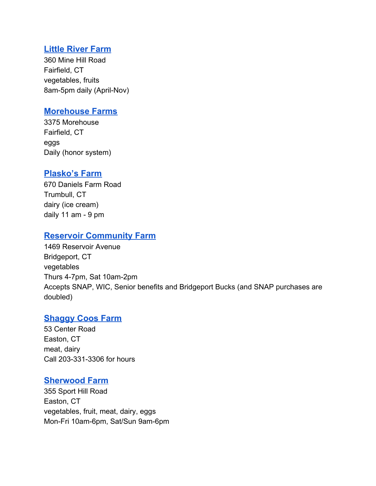#### **Little [River](http://littleriverfarm.com/) Farm**

360 Mine Hill Road Fairfield, CT vegetables, fruits 8am-5pm daily (April-Nov)

#### **[Morehouse](https://localhens.com/farms/morehouse-farm/) Farms**

3375 Morehouse Fairfield, CT eggs Daily (honor system)

#### **[Plasko's](https://plaskofarm.com/) Farm**

670 Daniels Farm Road Trumbull, CT dairy (ice cream) daily 11 am - 9 pm

# **Reservoir [Community](https://www.gogvi.org/reservoircommunityfarm/) Farm**

1469 Reservoir Avenue Bridgeport, CT vegetables Thurs 4-7pm, Sat 10am-2pm Accepts SNAP, WIC, Senior benefits and Bridgeport Bucks (and SNAP purchases are doubled)

# **[Shaggy](https://www.shaggycoos.farm/) Coos Farm**

53 Center Road Easton, CT meat, dairy Call 203-331-3306 for hours

#### **[Sherwood](https://www.silvermansfarm.com/) Farm**

355 Sport Hill Road Easton, CT vegetables, fruit, meat, dairy, eggs Mon-Fri 10am-6pm, Sat/Sun 9am-6pm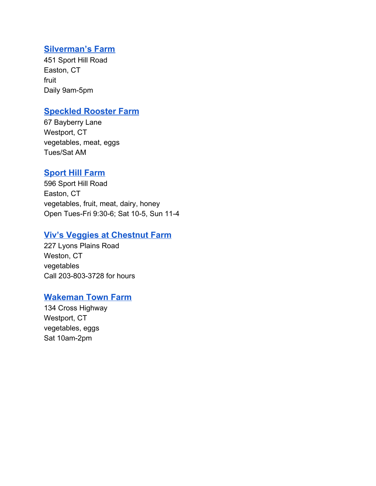#### **[Silverman's](https://www.silvermansfarm.com/) Farm**

451 Sport Hill Road Easton, CT fruit Daily 9am-5pm

#### **[Speckled](http://speckledroosterfarm.com/Speckled_Rooster.html) Rooster Farm**

67 Bayberry Lane Westport, CT vegetables, meat, eggs Tues/Sat AM

# **[Sport](https://www.sporthillfarm.com/) Hill Farm**

596 Sport Hill Road Easton, CT vegetables, fruit, meat, dairy, honey Open Tues-Fri 9:30-6; Sat 10-5, Sun 11-4

#### **Viv's Veggies at [Chestnut](https://www.facebook.com/pg/vivsveggies/about/) Farm**

227 Lyons Plains Road Weston, CT vegetables Call 203-803-3728 for hours

#### **[Wakeman](https://www.wakemantownfarm.org/) Town Farm**

134 Cross Highway Westport, CT vegetables, eggs Sat 10am-2pm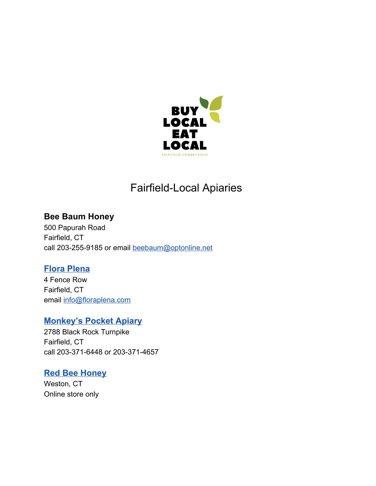

# Fairfield-Local Apiaries

# **Bee Baum Honey**

500 Papurah Road Fairfield, CT call 203-255-9185 or email [beebaum@optonline.net](mailto:beebaum@optonline.net)

# **Flora [Plena](http://www.floraplena.com/)**

4 Fence Row Fairfield, CT email [info@floraplena.com](mailto:info@floraplena.com)

# **[Monkey's](https://monkeyspocketapiary.com/) Pocket Apiary**

2788 Black Rock Turnpike Fairfield, CT call 203-371-6448 or 203-371-4657

# **Red Bee [Honey](http://www.redbee.com/)**

Weston, CT Online store only